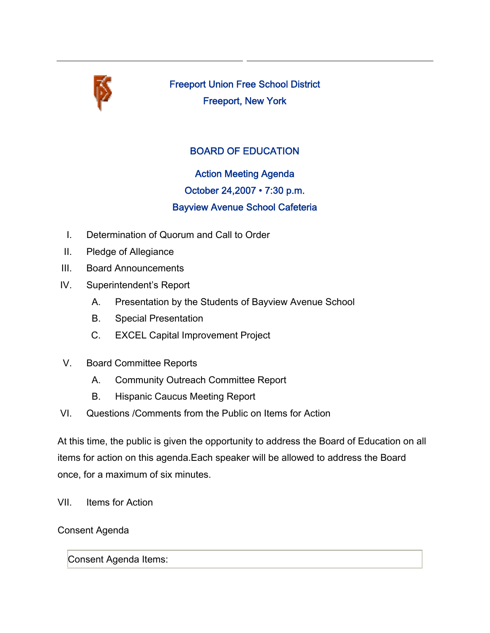

Freeport Union Free School District Freeport, New York

## BOARD OF EDUCATION

Action Meeting Agenda October 24,2007 • 7:30 p.m. Bayview Avenue School Cafeteria

- I. Determination of Quorum and Call to Order
- II. Pledge of Allegiance
- III. Board Announcements
- IV. Superintendent's Report
	- A. Presentation by the Students of Bayview Avenue School
	- B. Special Presentation
	- C. EXCEL Capital Improvement Project
- V. Board Committee Reports
	- A. Community Outreach Committee Report
	- B. Hispanic Caucus Meeting Report
- VI. Questions /Comments from the Public on Items for Action

At this time, the public is given the opportunity to address the Board of Education on all items for action on this agenda.Each speaker will be allowed to address the Board once, for a maximum of six minutes.

VII. Items for Action

Consent Agenda

Consent Agenda Items: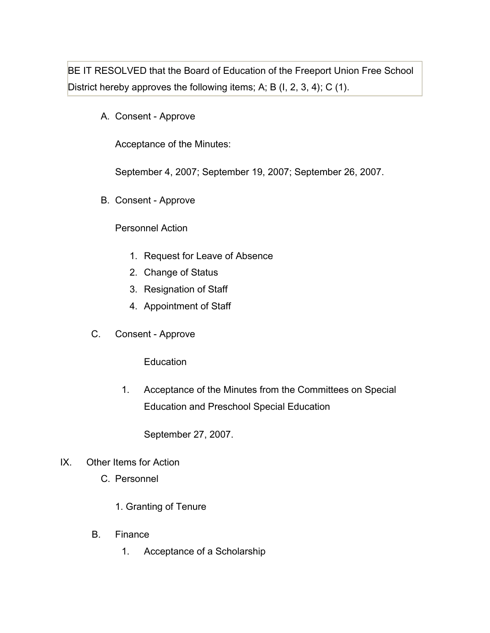BE IT RESOLVED that the Board of Education of the Freeport Union Free School District hereby approves the following items; A; B (I, 2, 3, 4); C (1).

A. Consent - Approve

Acceptance of the Minutes:

September 4, 2007; September 19, 2007; September 26, 2007.

B. Consent - Approve

## Personnel Action

- 1. Request for Leave of Absence
- 2. Change of Status
- 3. Resignation of Staff
- 4. Appointment of Staff
- C. Consent Approve

**Education** 

1. Acceptance of the Minutes from the Committees on Special Education and Preschool Special Education

September 27, 2007.

- IX. Other Items for Action
	- C. Personnel
		- 1. Granting of Tenure
	- B. Finance
		- 1. Acceptance of a Scholarship